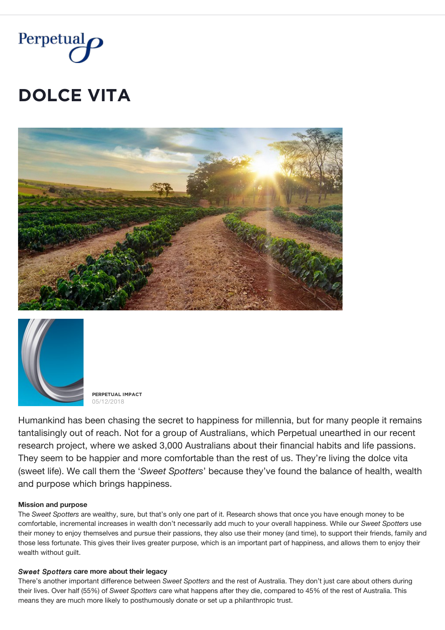

# **DOLCE VITA**





**PĚŘPĚȚŲǺĿ İMPǺČȚ** 05/12/2018

Humankind has been chasing the secret to happiness for millennia, but for many people it remains tantalisingly out of reach. Not for a group of Australians, which Perpetual unearthed in our recent research project, where we asked 3,000 Australians about their financial habits and life passions. They seem to be happier and more comfortable than the rest of us. They're living the dolce vita (sweet life). We call them the '*Sweet Spotters*' because they've found the balance of health, wealth and purpose which brings happiness.

### **Mission and purpose**

The *Sweet Spotters* are wealthy, sure, but that's only one part of it. Research shows that once you have enough money to be comfortable, incremental increases in wealth don't necessarily add much to your overall happiness. While our *Sweet Spotters* use their money to enjoy themselves and pursue their passions, they also use their money (and time), to support their friends, family and those less fortunate. This gives their lives greater purpose, which is an important part of happiness, and allows them to enjoy their wealth without guilt.

### *Sweet Spotters* **care more about their legacy**

There's another important difference between *Sweet Spotters* and the rest of Australia. They don't just care about others during their lives. Over half (55%) of *Sweet Spotters* care what happens after they die, compared to 45% of the rest of Australia. This means they are much more likely to posthumously donate or set up a philanthropic trust.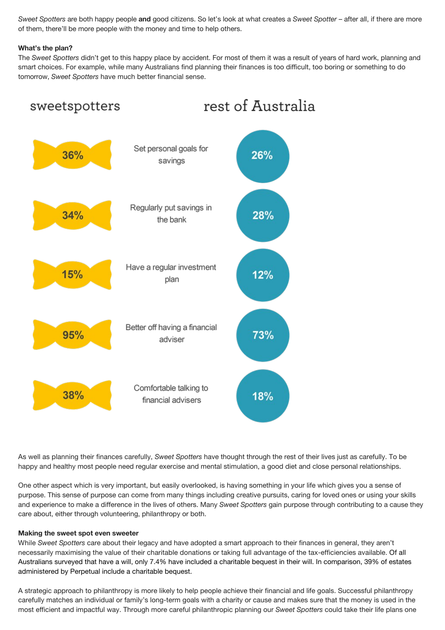*Sweet Spotters* are both happy people **and** good citizens. So let's look at what creates a *Sweet Spotter* – after all, if there are more of them, there'll be more people with the money and time to help others.

## **What's the plan?**

The *Sweet Spotters* didn't get to this happy place by accident. For most of them it was a result of years of hard work, planning and smart choices. For example, while many Australians find planning their finances is too difficult, too boring or something to do tomorrow, *Sweet Spotters* have much better financial sense.



As well as planning their finances carefully, *Sweet Spotters* have thought through the rest of their lives just as carefully. To be happy and healthy most people need regular exercise and mental stimulation, a good diet and close personal relationships.

One other aspect which is very important, but easily overlooked, is having something in your life which gives you a sense of purpose. This sense of purpose can come from many things including creative pursuits, caring for loved ones or using your skills and experience to make a difference in the lives of others. Many *Sweet Spotters* gain purpose through contributing to a cause they care about, either through volunteering, philanthropy or both.

### **Making the sweet spot even sweeter**

While *Sweet Spotters* care about their legacy and have adopted a smart approach to their finances in general, they aren't necessarily maximising the value of their charitable donations or taking full advantage of the tax-efficiencies available. Of all Australians surveyed that have a will, only 7.4% have included a charitable bequest in their will. In comparison, 39% of estates administered by Perpetual include a charitable bequest.

A strategic approach to philanthropy is more likely to help people achieve their financial and life goals. Successful philanthropy carefully matches an individual or family's long-term goals with a charity or cause and makes sure that the money is used in the most efficient and impactful way. Through more careful philanthropic planning our *Sweet Spotters* could take their life plans one